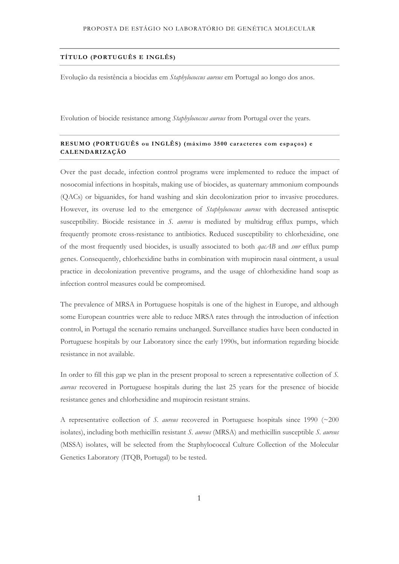# **TÍTULO (PORTUGUÊS E INGLÊS)**

Evolução da resistência a biocidas em *Staphylococcus aureus* em Portugal ao longo dos anos.

Evolution of biocide resistance among *Staphylococcus aureus* from Portugal over the years.

# **RESUMO (PORTUGUÊS ou INGLÊS) (máximo 3500 car acteres com espaços ) e CALENDARIZAÇÃO**

Over the past decade, infection control programs were implemented to reduce the impact of nosocomial infections in hospitals, making use of biocides, as quaternary ammonium compounds (QACs) or biguanides, for hand washing and skin decolonization prior to invasive procedures. However, its overuse led to the emergence of *Staphylococcus aureus* with decreased antiseptic susceptibility. Biocide resistance in *S. aureus* is mediated by multidrug efflux pumps, which frequently promote cross-resistance to antibiotics. Reduced susceptibility to chlorhexidine, one of the most frequently used biocides, is usually associated to both *qacAB* and *smr* efflux pump genes. Consequently, chlorhexidine baths in combination with mupirocin nasal ointment, a usual practice in decolonization preventive programs, and the usage of chlorhexidine hand soap as infection control measures could be compromised.

The prevalence of MRSA in Portuguese hospitals is one of the highest in Europe, and although some European countries were able to reduce MRSA rates through the introduction of infection control, in Portugal the scenario remains unchanged. Surveillance studies have been conducted in Portuguese hospitals by our Laboratory since the early 1990s, but information regarding biocide resistance in not available.

In order to fill this gap we plan in the present proposal to screen a representative collection of *S. aureus* recovered in Portuguese hospitals during the last 25 years for the presence of biocide resistance genes and chlorhexidine and mupirocin resistant strains.

A representative collection of *S. aureus* recovered in Portuguese hospitals since 1990 (~200 isolates), including both methicillin resistant *S. aureus* (MRSA) and methicillin susceptible *S. aureus* (MSSA) isolates, will be selected from the Staphylococcal Culture Collection of the Molecular Genetics Laboratory (ITQB, Portugal) to be tested.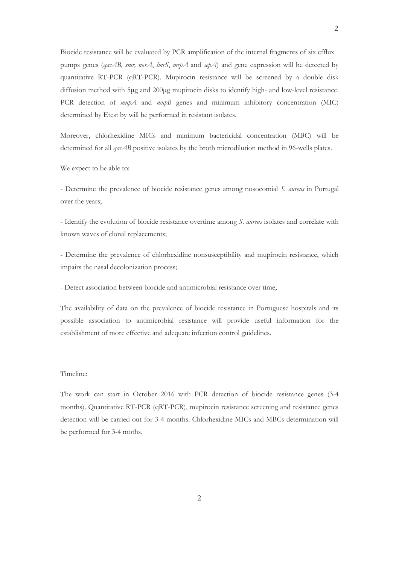Biocide resistance will be evaluated by PCR amplification of the internal fragments of six efflux pumps genes (*qacAB, smr, norA*, *lmrS*, *mepA* and *sepA*) and gene expression will be detected by quantitative RT-PCR (qRT-PCR). Mupirocin resistance will be screened by a double disk diffusion method with 5μg and 200μg mupirocin disks to identify high- and low-level resistance. PCR detection of *mupA* and *mupB* genes and minimum inhibitory concentration (MIC) determined by Etest by will be performed in resistant isolates.

Moreover, chlorhexidine MICs and minimum bactericidal concentration (MBC) will be determined for all *qacAB* positive isolates by the broth microdilution method in 96-wells plates.

We expect to be able to:

- Determine the prevalence of biocide resistance genes among nosocomial *S. aureus* in Portugal over the years;

- Identify the evolution of biocide resistance overtime among *S. aureus* isolates and correlate with known waves of clonal replacements;

- Determine the prevalence of chlorhexidine nonsusceptibility and mupirocin resistance, which impairs the nasal decolonization process;

- Detect association between biocide and antimicrobial resistance over time;

The availability of data on the prevalence of biocide resistance in Portuguese hospitals and its possible association to antimicrobial resistance will provide useful information for the establishment of more effective and adequate infection control guidelines.

#### Timeline:

The work can start in October 2016 with PCR detection of biocide resistance genes (3-4 months). Quantitative RT-PCR (qRT-PCR), mupirocin resistance screening and resistance genes detection will be carried out for 3-4 months. Chlorhexidine MICs and MBCs determination will be performed for 3-4 moths.